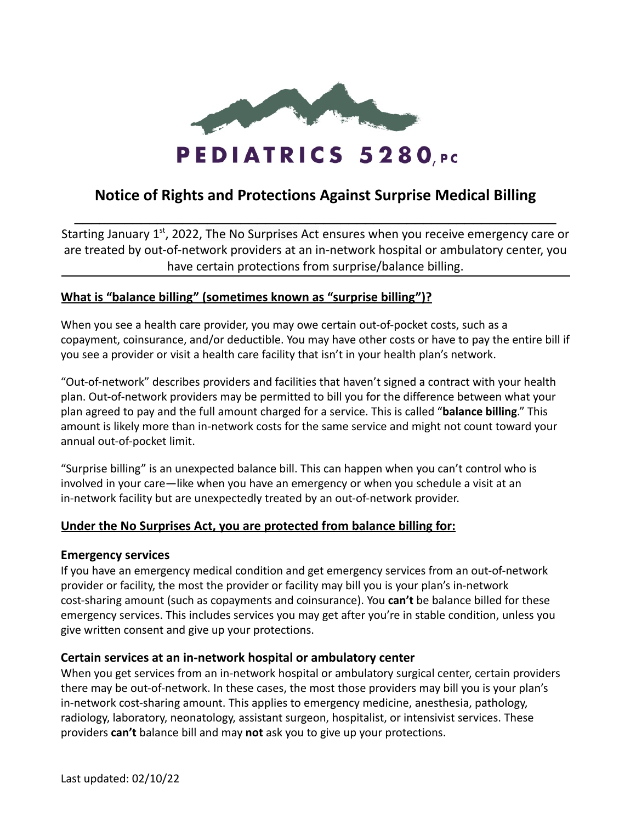

# **Notice of Rights and Protections Against Surprise Medical Billing \_\_\_\_\_\_\_\_\_\_\_\_\_\_\_\_\_\_\_\_\_\_\_\_\_\_\_\_\_\_\_\_\_\_\_\_\_\_\_\_\_\_\_\_\_\_\_\_\_\_\_\_\_\_\_\_\_\_**

Starting January 1<sup>st</sup>, 2022, The No Surprises Act ensures when you receive emergency care or are treated by out-of-network providers at an in-network hospital or ambulatory center, you have certain protections from surprise/balance billing.

# **What is "balance billing" (sometimes known as "surprise billing")?**

When you see a health care provider, you may owe certain out-of-pocket costs, such as a copayment, coinsurance, and/or deductible. You may have other costs or have to pay the entire bill if you see a provider or visit a health care facility that isn't in your health plan's network.

"Out-of-network" describes providers and facilities that haven't signed a contract with your health plan. Out-of-network providers may be permitted to bill you for the difference between what your plan agreed to pay and the full amount charged for a service. This is called "**balance billing**." This amount is likely more than in-network costs for the same service and might not count toward your annual out-of-pocket limit.

"Surprise billing" is an unexpected balance bill. This can happen when you can't control who is involved in your care—like when you have an emergency or when you schedule a visit at an in-network facility but are unexpectedly treated by an out-of-network provider.

## **Under the No Surprises Act, you are protected from balance billing for:**

## **Emergency services**

If you have an emergency medical condition and get emergency services from an out-of-network provider or facility, the most the provider or facility may bill you is your plan's in-network cost-sharing amount (such as copayments and coinsurance). You **can't** be balance billed for these emergency services. This includes services you may get after you're in stable condition, unless you give written consent and give up your protections.

## **Certain services at an in-network hospital or ambulatory center**

When you get services from an in-network hospital or ambulatory surgical center, certain providers there may be out-of-network. In these cases, the most those providers may bill you is your plan's in-network cost-sharing amount. This applies to emergency medicine, anesthesia, pathology, radiology, laboratory, neonatology, assistant surgeon, hospitalist, or intensivist services. These providers **can't** balance bill and may **not** ask you to give up your protections.